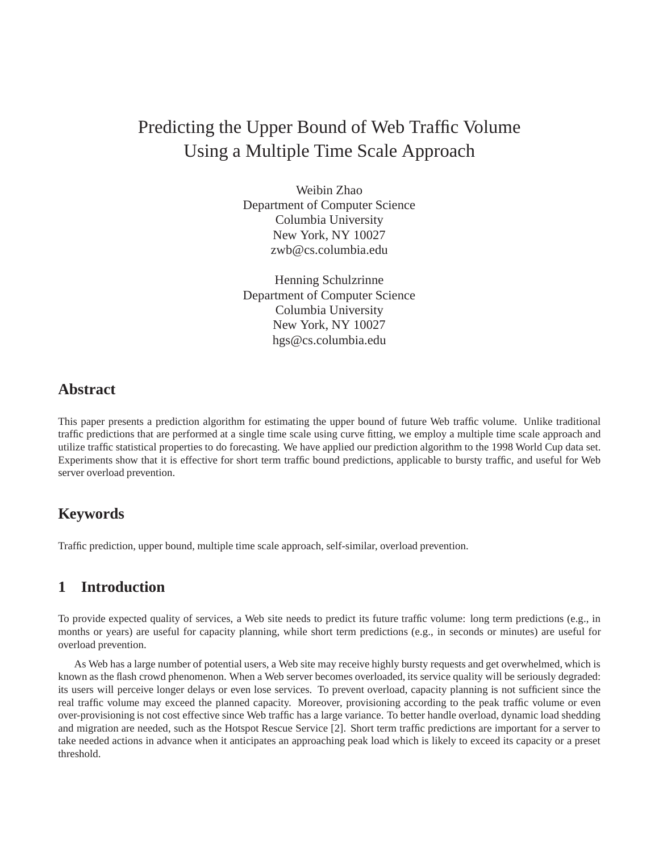# Predicting the Upper Bound of Web Traffic Volume Using a Multiple Time Scale Approach

Weibin Zhao Department of Computer Science Columbia University New York, NY 10027 zwb@cs.columbia.edu

Henning Schulzrinne Department of Computer Science Columbia University New York, NY 10027 hgs@cs.columbia.edu

### **Abstract**

This paper presents a prediction algorithm for estimating the upper bound of future Web traffic volume. Unlike traditional traffic predictions that are performed at a single time scale using curve fitting, we employ a multiple time scale approach and utilize traffic statistical properties to do forecasting. We have applied our prediction algorithm to the 1998 World Cup data set. Experiments show that it is effective for short term traffic bound predictions, applicable to bursty traffic, and useful for Web server overload prevention.

# **Keywords**

Traffic prediction, upper bound, multiple time scale approach, self-similar, overload prevention.

# **1 Introduction**

To provide expected quality of services, a Web site needs to predict its future traffic volume: long term predictions (e.g., in months or years) are useful for capacity planning, while short term predictions (e.g., in seconds or minutes) are useful for overload prevention.

As Web has a large number of potential users, a Web site may receive highly bursty requests and get overwhelmed, which is known as the flash crowd phenomenon. When a Web server becomes overloaded, its service quality will be seriously degraded: its users will perceive longer delays or even lose services. To prevent overload, capacity planning is not sufficient since the real traffic volume may exceed the planned capacity. Moreover, provisioning according to the peak traffic volume or even over-provisioning is not cost effective since Web traffic has a large variance. To better handle overload, dynamic load shedding and migration are needed, such as the Hotspot Rescue Service [2]. Short term traffic predictions are important for a server to take needed actions in advance when it anticipates an approaching peak load which is likely to exceed its capacity or a preset threshold.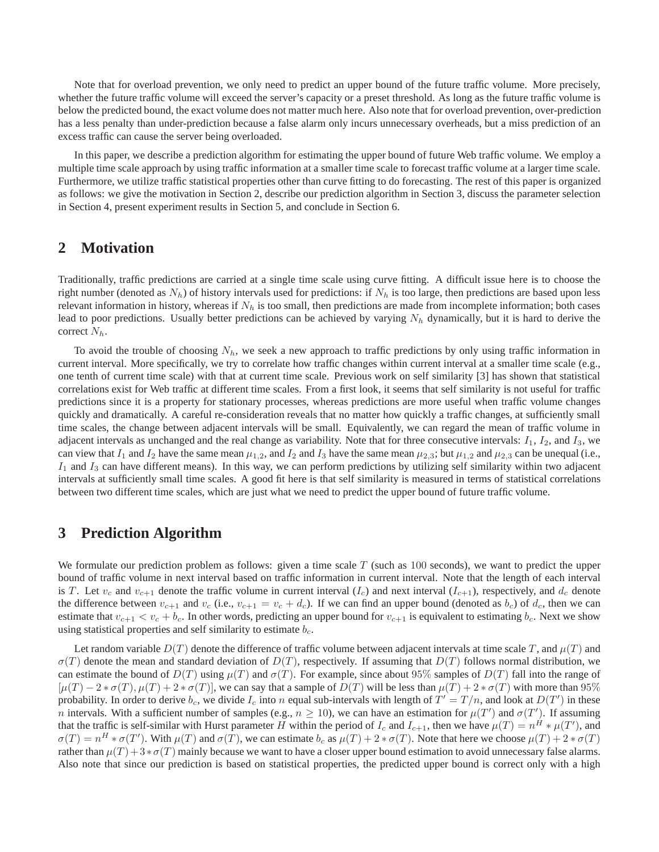Note that for overload prevention, we only need to predict an upper bound of the future traffic volume. More precisely, whether the future traffic volume will exceed the server's capacity or a preset threshold. As long as the future traffic volume is below the predicted bound, the exact volume does not matter much here. Also note that for overload prevention, over-prediction has a less penalty than under-prediction because a false alarm only incurs unnecessary overheads, but a miss prediction of an excess traffic can cause the server being overloaded.

In this paper, we describe a prediction algorithm for estimating the upper bound of future Web traffic volume. We employ a multiple time scale approach by using traffic information at a smaller time scale to forecast traffic volume at a larger time scale. Furthermore, we utilize traffic statistical properties other than curve fitting to do forecasting. The rest of this paper is organized as follows: we give the motivation in Section 2, describe our prediction algorithm in Section 3, discuss the parameter selection in Section 4, present experiment results in Section 5, and conclude in Section 6.

#### **2 Motivation**

Traditionally, traffic predictions are carried at a single time scale using curve fitting. A difficult issue here is to choose the right number (denoted as  $N_h$ ) of history intervals used for predictions: if  $N_h$  is too large, then predictions are based upon less relevant information in history, whereas if  $N_h$  is too small, then predictions are made from incomplete information; both cases lead to poor predictions. Usually better predictions can be achieved by varying  $N_h$  dynamically, but it is hard to derive the correct  $N_h$ .

To avoid the trouble of choosing  $N_h$ , we seek a new approach to traffic predictions by only using traffic information in current interval. More specifically, we try to correlate how traffic changes within current interval at a smaller time scale (e.g., one tenth of current time scale) with that at current time scale. Previous work on self similarity [3] has shown that statistical correlations exist for Web traffic at different time scales. From a first look, it seems that self similarity is not useful for traffic predictions since it is a property for stationary processes, whereas predictions are more useful when traffic volume changes quickly and dramatically. A careful re-consideration reveals that no matter how quickly a traffic changes, at sufficiently small time scales, the change between adjacent intervals will be small. Equivalently, we can regard the mean of traffic volume in adjacent intervals as unchanged and the real change as variability. Note that for three consecutive intervals:  $I_1$ ,  $I_2$ , and  $I_3$ , we can view that  $I_1$  and  $I_2$  have the same mean  $\mu_{1,2}$ , and  $I_2$  and  $I_3$  have the same mean  $\mu_{2,3}$ ; but  $\mu_{1,2}$  and  $\mu_{2,3}$  can be unequal (i.e.,  $I_1$  and  $I_3$  can have different means). In this way, we can perform predictions by utilizing self similarity within two adjacent intervals at sufficiently small time scales. A good fit here is that self similarity is measured in terms of statistical correlations between two different time scales, which are just what we need to predict the upper bound of future traffic volume.

#### **3 Prediction Algorithm**

We formulate our prediction problem as follows: given a time scale  $T$  (such as 100 seconds), we want to predict the upper bound of traffic volume in next interval based on traffic information in current interval. Note that the length of each interval is T. Let  $v_c$  and  $v_{c+1}$  denote the traffic volume in current interval  $(I_c)$  and next interval  $(I_c+1)$ , respectively, and  $d_c$  denote the difference between  $v_{c+1}$  and  $v_c$  (i.e.,  $v_{c+1} = v_c + d_c$ ). If we can find an upper bound (denoted as  $b_c$ ) of  $d_c$ , then we can estimate that  $v_{c+1} < v_c + b_c$ . In other words, predicting an upper bound for  $v_{c+1}$  is equivalent to estimating  $b_c$ . Next we show using statistical properties and self similarity to estimate  $b_c$ .

Let random variable  $D(T)$  denote the difference of traffic volume between adjacent intervals at time scale T, and  $\mu(T)$  and  $\sigma(T)$  denote the mean and standard deviation of  $D(T)$ , respectively. If assuming that  $D(T)$  follows normal distribution, we can estimate the bound of  $D(T)$  using  $\mu(T)$  and  $\sigma(T)$ . For example, since about 95% samples of  $D(T)$  fall into the range of  $[\mu(T) - 2*\sigma(T), \mu(T) + 2*\sigma(T)]$ , we can say that a sample of  $D(T)$  will be less than  $\mu(T) + 2*\sigma(T)$  with more than 95% probability. In order to derive  $b_c$ , we divide  $I_c$  into n equal sub-intervals with length of  $T' = T/n$ , and look at  $D(T')$  in these *n* intervals. With a sufficient number of samples (e.g.,  $n \ge 10$ ), we can have an estimation for  $\mu(T')$  and  $\sigma(T')$ . If assuming that the traffic is self-similar with Hurst parameter H within the period of  $I_c$  and  $I_{c+1}$ , then we have  $\mu(T) = n^H * \mu(T')$ , and  $\sigma(T) = n^H * \sigma(T')$ . With  $\mu(T)$  and  $\sigma(T)$ , we can estimate  $b_c$  as  $\mu(T) + 2 * \sigma(T)$ . Note that here we choose  $\mu(T) + 2 * \sigma(T)$ rather than  $\mu(T) + 3 * \sigma(T)$  mainly because we want to have a closer upper bound estimation to avoid unnecessary false alarms. Also note that since our prediction is based on statistical properties, the predicted upper bound is correct only with a high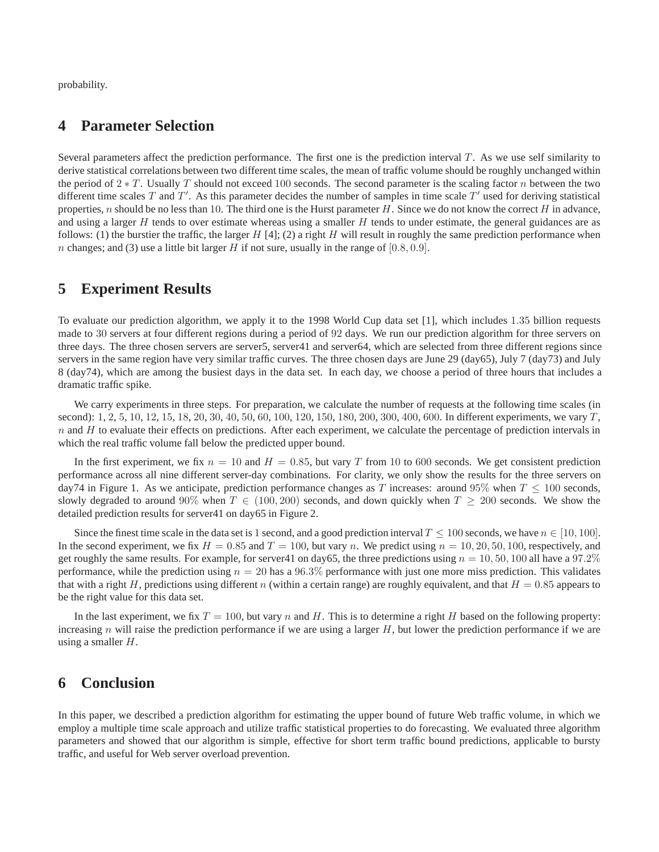probability.

### **4 Parameter Selection**

Several parameters affect the prediction performance. The first one is the prediction interval  $T$ . As we use self similarity to derive statistical correlations between two different time scales, the mean of traffic volume should be roughly unchanged within the period of  $2 \times T$ . Usually T should not exceed 100 seconds. The second parameter is the scaling factor n between the two different time scales T and T'. As this parameter decides the number of samples in time scale T' used for deriving statistical properties, n should be no less than 10. The third one is the Hurst parameter  $H$ . Since we do not know the correct  $H$  in advance, and using a larger  $H$  tends to over estimate whereas using a smaller  $H$  tends to under estimate, the general guidances are as follows: (1) the burstier the traffic, the larger  $H$  [4]; (2) a right  $H$  will result in roughly the same prediction performance when n changes; and (3) use a little bit larger H if not sure, usually in the range of  $[0.8, 0.9]$ .

#### **5 Experiment Results**

To evaluate our prediction algorithm, we apply it to the 1998 World Cup data set [1], which includes 1.35 billion requests made to 30 servers at four different regions during a period of 92 days. We run our prediction algorithm for three servers on three days. The three chosen servers are server5, server41 and server64, which are selected from three different regions since servers in the same region have very similar traffic curves. The three chosen days are June 29 (day65), July 7 (day73) and July 8 (day74), which are among the busiest days in the data set. In each day, we choose a period of three hours that includes a dramatic traffic spike.

We carry experiments in three steps. For preparation, we calculate the number of requests at the following time scales (in second):  $1, 2, 5, 10, 12, 15, 18, 20, 30, 40, 50, 60, 100, 120, 150, 180, 200, 300, 400, 600$ . In different experiments, we vary  $T$ ,  $n$  and  $H$  to evaluate their effects on predictions. After each experiment, we calculate the percentage of prediction intervals in which the real traffic volume fall below the predicted upper bound.

In the first experiment, we fix  $n = 10$  and  $H = 0.85$ , but vary T from 10 to 600 seconds. We get consistent prediction performance across all nine different server-day combinations. For clarity, we only show the results for the three servers on day74 in Figure 1. As we anticipate, prediction performance changes as T increases: around 95% when  $T \le 100$  seconds, slowly degraded to around 90% when  $T \in (100, 200)$  seconds, and down quickly when  $T \ge 200$  seconds. We show the detailed prediction results for server41 on day65 in Figure 2.

Since the finest time scale in the data set is 1 second, and a good prediction interval  $T \le 100$  seconds, we have  $n \in [10, 100]$ . In the second experiment, we fix  $H = 0.85$  and  $T = 100$ , but vary n. We predict using  $n = 10, 20, 50, 100$ , respectively, and get roughly the same results. For example, for server41 on day65, the three predictions using  $n = 10, 50, 100$  all have a 97.2% performance, while the prediction using  $n = 20$  has a 96.3% performance with just one more miss prediction. This validates that with a right H, predictions using different n (within a certain range) are roughly equivalent, and that  $H = 0.85$  appears to be the right value for this data set.

In the last experiment, we fix  $T = 100$ , but vary n and H. This is to determine a right H based on the following property: increasing  $n$  will raise the prediction performance if we are using a larger  $H$ , but lower the prediction performance if we are using a smaller  $H$ .

### **6 Conclusion**

In this paper, we described a prediction algorithm for estimating the upper bound of future Web traffic volume, in which we employ a multiple time scale approach and utilize traffic statistical properties to do forecasting. We evaluated three algorithm parameters and showed that our algorithm is simple, effective for short term traffic bound predictions, applicable to bursty traffic, and useful for Web server overload prevention.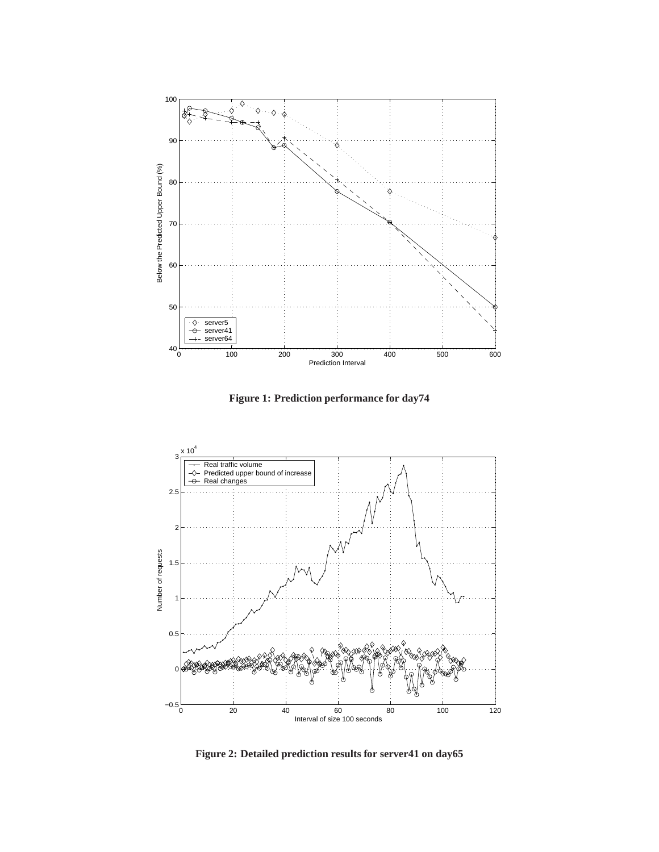

**Figure 1: Prediction performance for day74**



**Figure 2: Detailed prediction results for server41 on day65**